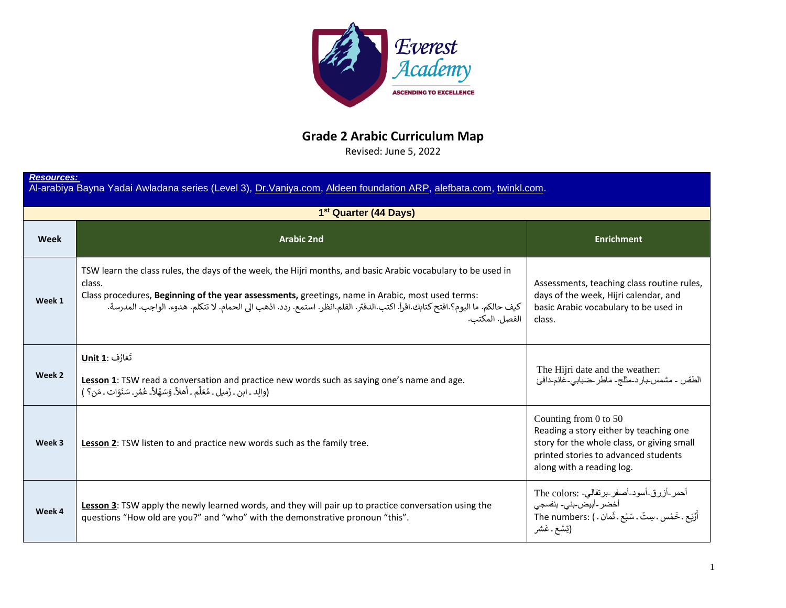

## **Grade 2 Arabic Curriculum Map**

Revised: June 5, 2022

| <b>Resources:</b><br>Al-arabiya Bayna Yadai Awladana series (Level 3), Dr. Vaniya.com, Aldeen foundation ARP, alefbata.com, twinkl.com. |                                                                                                                                                                                                                                                                                                                                                                              |                                                                                                                                                                                        |
|-----------------------------------------------------------------------------------------------------------------------------------------|------------------------------------------------------------------------------------------------------------------------------------------------------------------------------------------------------------------------------------------------------------------------------------------------------------------------------------------------------------------------------|----------------------------------------------------------------------------------------------------------------------------------------------------------------------------------------|
| 1 <sup>st</sup> Quarter (44 Days)                                                                                                       |                                                                                                                                                                                                                                                                                                                                                                              |                                                                                                                                                                                        |
| Week                                                                                                                                    | <b>Arabic 2nd</b>                                                                                                                                                                                                                                                                                                                                                            | <b>Enrichment</b>                                                                                                                                                                      |
| Week 1                                                                                                                                  | TSW learn the class rules, the days of the week, the Hijri months, and basic Arabic vocabulary to be used in<br>class.<br>Class procedures, Beginning of the year assessments, greetings, name in Arabic, most used terms:<br>كيف حالكم. ما اليوم؟ افتح كتابك اقرأ. اكتب الدفتر. القلم انظر. استمع. ردد. اذهب الى الحمام. لا تتكلم. هدوء. الواجب. المدرسة.<br>الفصل. المكتب. | Assessments, teaching class routine rules,<br>days of the week, Hijri calendar, and<br>basic Arabic vocabulary to be used in<br>class.                                                 |
| Week 2                                                                                                                                  | تَعَارُف :Unit 1<br>Lesson 1: TSW read a conversation and practice new words such as saying one's name and age.<br>(والِد ـ ابن ـ زَميل ـ مُعَلِّم ـ أَهلاًـ وَسَهْلاًـ عُمُرٍـ سَنَوَات ـ مَن؟ )                                                                                                                                                                            | The Hijri date and the weather:<br>الطقس - مشمس-بار د-مثلج- ماطر -ضبابي-غائم-دافئ                                                                                                      |
| Week 3                                                                                                                                  | Lesson 2: TSW listen to and practice new words such as the family tree.                                                                                                                                                                                                                                                                                                      | Counting from $0$ to $50$<br>Reading a story either by teaching one<br>story for the whole class, or giving small<br>printed stories to advanced students<br>along with a reading log. |
| Week 4                                                                                                                                  | Lesson 3: TSW apply the newly learned words, and they will pair up to practice conversation using the<br>questions "How old are you?" and "who" with the demonstrative pronoun "this".                                                                                                                                                                                       | أحمر-أزرق-أسود-أصفر-برنقالي- :The colors<br>أخضر -أبيض-بني- بنفسجي<br>أَرْيَعِ . خَمْس . سِتّ . سَبْعٍ . ثَمان . ) :The numbers<br>(تِسْع ـ عَشر                                       |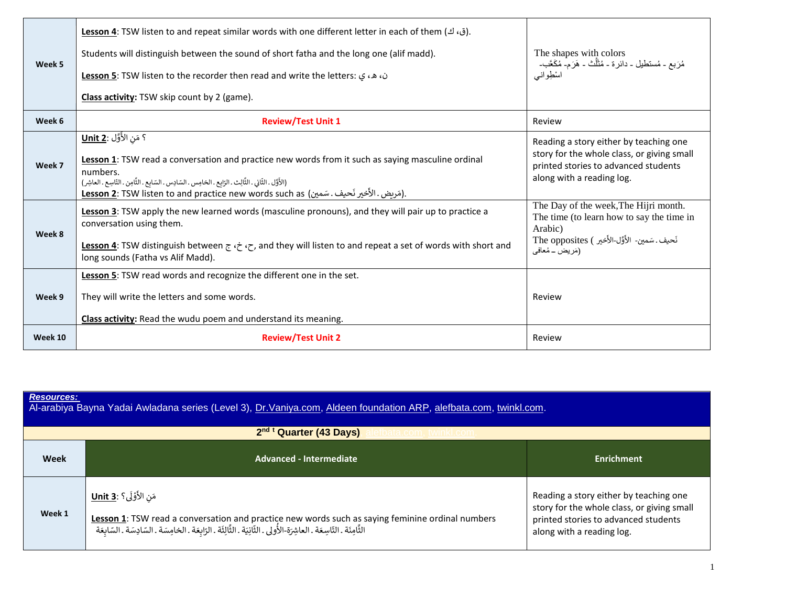| Week 5  | .(ق، ك) Lesson 4: TSW listen to and repeat similar words with one different letter in each of them<br>Students will distinguish between the sound of short fatha and the long one (alif madd).<br>ن، هـ، ي: Lesson 5: TSW listen to the recorder then read and write the letters:<br>Class activity: TSW skip count by 2 (game).                            | The shapes with colors<br>مُزَبِعٍ - مُستَطْيِلٍ - دائرة - مُثَلِّث - هَزَم- مُكَعَّب-<br>اسْطِوانسى                                                                |
|---------|-------------------------------------------------------------------------------------------------------------------------------------------------------------------------------------------------------------------------------------------------------------------------------------------------------------------------------------------------------------|---------------------------------------------------------------------------------------------------------------------------------------------------------------------|
| Week 6  | <b>Review/Test Unit 1</b>                                                                                                                                                                                                                                                                                                                                   | Review                                                                                                                                                              |
| Week 7  | ؟ مَن الأَوَّل : <u>Unit 2</u><br>Lesson 1: TSW read a conversation and practice new words from it such as saying masculine ordinal<br>numbers.<br>(الأَوَّل ـ الثَّانِي ـ الثَّالِث ـ الرَابع ـ الخامِس ـ السّادِس ـ السّابع ـ الثَّامِن ـ التّاسِع ـ العاشِر)<br>Lesson 2: TSW listen to and practice new words such as (مَرِيض . الأَخير نَحيف . سَمين). | Reading a story either by teaching one<br>story for the whole class, or giving small<br>printed stories to advanced students<br>along with a reading log.           |
| Week 8  | Lesson 3: TSW apply the new learned words (masculine pronouns), and they will pair up to practice a<br>conversation using them.<br>Lesson 4: TSW distinguish between $\zeta$ , $\zeta$ , and they will listen to and repeat a set of words with short and<br>long sounds (Fatha vs Alif Madd).                                                              | The Day of the week, The Hijri month.<br>The time (to learn how to say the time in<br>Arabic)<br>نَحيف. سَمين- الأَوَّل-الأَخير ) The opposites<br>(مَرِيض _ مُعافى |
| Week 9  | Lesson 5: TSW read words and recognize the different one in the set.<br>They will write the letters and some words.<br>Class activity: Read the wudu poem and understand its meaning.                                                                                                                                                                       | Review                                                                                                                                                              |
| Week 10 | <b>Review/Test Unit 2</b>                                                                                                                                                                                                                                                                                                                                   | Review                                                                                                                                                              |

| <b>Resources:</b><br>Al-arabiya Bayna Yadai Awladana series (Level 3), Dr. Vaniya.com, Aldeen foundation ARP, alefbata.com, twinkl.com. |                                                                                                                                                                                                                                                                |                                                                                                                                                           |  |
|-----------------------------------------------------------------------------------------------------------------------------------------|----------------------------------------------------------------------------------------------------------------------------------------------------------------------------------------------------------------------------------------------------------------|-----------------------------------------------------------------------------------------------------------------------------------------------------------|--|
| 2nd t Quarter (43 Days)<br>bata.com. twinkl.com                                                                                         |                                                                                                                                                                                                                                                                |                                                                                                                                                           |  |
| Week                                                                                                                                    | Advanced - Intermediate                                                                                                                                                                                                                                        | Enrichment                                                                                                                                                |  |
| Week 1                                                                                                                                  | مَن الأَوْلَى؟ : <u>Unit 3</u><br>Lesson 1: TSW read a conversation and practice new words such as saying feminine ordinal numbers<br>الثَّامِنَة ـ التّاسِعَة ـ العاشِرَة-الأُولى ـ الثّانِيَة ـ الثَّالِثَة ـ الرّابعَة ـ الخامِسَة ـ السّادِسَة ـ السّابعَة | Reading a story either by teaching one<br>story for the whole class, or giving small<br>printed stories to advanced students<br>along with a reading log. |  |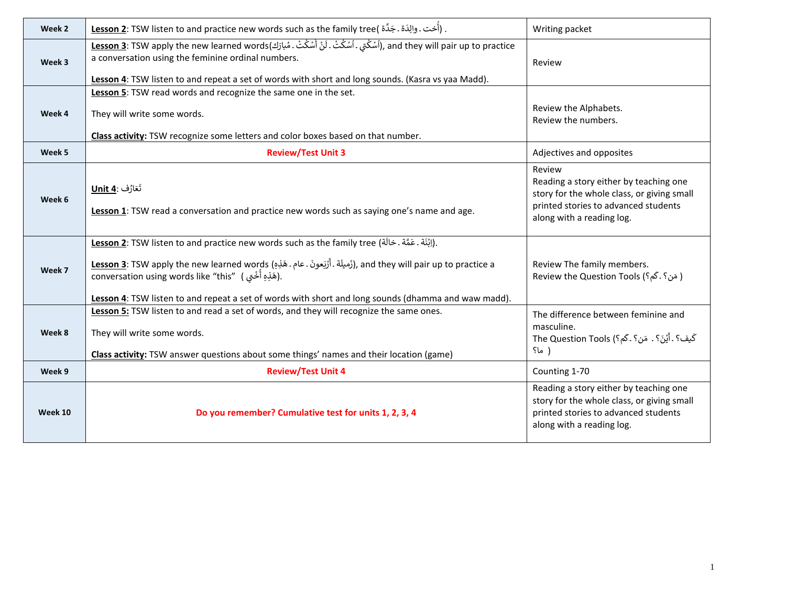| Week 2  | . (أُخت . والِدَة . جَدَّة <u>Lesson 2</u> : TSW listen to and practice new words such as the family tree(                                                                                                                                                                                                                                                                                                  | Writing packet                                                                                                                                                      |
|---------|-------------------------------------------------------------------------------------------------------------------------------------------------------------------------------------------------------------------------------------------------------------------------------------------------------------------------------------------------------------------------------------------------------------|---------------------------------------------------------------------------------------------------------------------------------------------------------------------|
| Week 3  | and they will pair up to practice (اُسْكُتِي ۔اُسْكُتْ ۔ لَنْ أَسْكُتْ ۔ مُبارَكِ), and they will pair up to practice<br>a conversation using the feminine ordinal numbers.<br>Lesson 4: TSW listen to and repeat a set of words with short and long sounds. (Kasra vs yaa Madd).                                                                                                                           | Review                                                                                                                                                              |
| Week 4  | Lesson 5: TSW read words and recognize the same one in the set.<br>They will write some words.<br>Class activity: TSW recognize some letters and color boxes based on that number.                                                                                                                                                                                                                          | Review the Alphabets.<br>Review the numbers.                                                                                                                        |
| Week 5  | <b>Review/Test Unit 3</b>                                                                                                                                                                                                                                                                                                                                                                                   | Adjectives and opposites                                                                                                                                            |
| Week 6  | تَعَارُف :Unit 4<br>Lesson 1: TSW read a conversation and practice new words such as saying one's name and age.                                                                                                                                                                                                                                                                                             | Review<br>Reading a story either by teaching one<br>story for the whole class, or giving small<br>printed stories to advanced students<br>along with a reading log. |
| Week 7  | <u> ابْنَ</u> ة . عَمَّة . خالَة) Lesson 2: TSW listen to and practice new words such as the family tree<br><u>Lesson 3</u> : TSW apply the new learned words (أَرَميلَة . أَرْبَعونَ . عام . هَذِهِ), and they will pair up to practice a<br>conversation using words like "this" (هَذِهِ أَخْتَى).<br>Lesson 4: TSW listen to and repeat a set of words with short and long sounds (dhamma and waw madd). | Review The family members.<br>Review the Question Tools (؟ . كَم؟)                                                                                                  |
| Week 8  | Lesson 5: TSW listen to and read a set of words, and they will recognize the same ones.<br>They will write some words.<br>Class activity: TSW answer questions about some things' names and their location (game)                                                                                                                                                                                           | The difference between feminine and<br>masculine.<br>كَيفَ؟ . أَيْنَ؟ . مَن؟ . كَم؟) The Question Tools<br>( ما؟                                                    |
| Week 9  | <b>Review/Test Unit 4</b>                                                                                                                                                                                                                                                                                                                                                                                   | Counting 1-70                                                                                                                                                       |
| Week 10 | Do you remember? Cumulative test for units 1, 2, 3, 4                                                                                                                                                                                                                                                                                                                                                       | Reading a story either by teaching one<br>story for the whole class, or giving small<br>printed stories to advanced students<br>along with a reading log.           |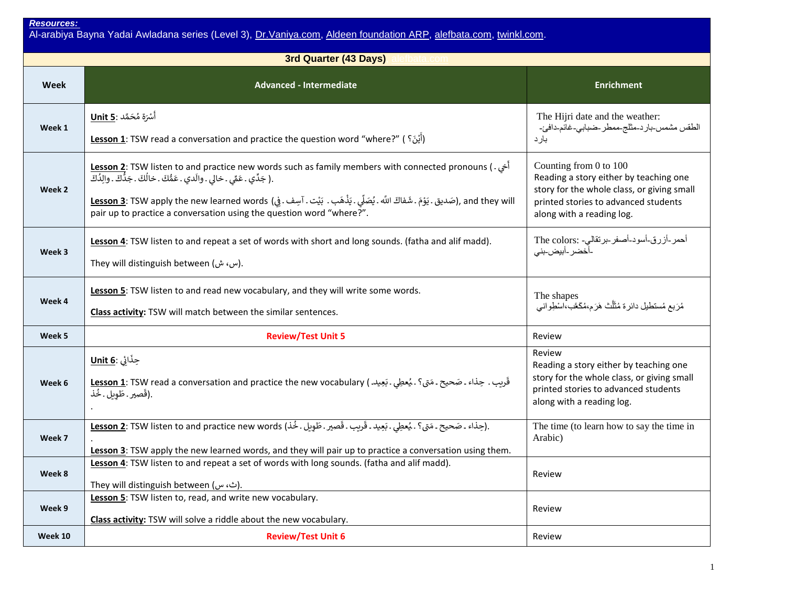Al-arabiya Bayna Yadai Awladana series (Level 3), <u>Dr.Vaniya.com, [Aldeen foundation ARP,](https://aldeenfoundation.org/programs/arabic-reader-program/) [alefbata.com,](https://www.alefbata.com/lessons) twinkl.com</u>.

| 3rd Quarter (43 Days) |                                                                                                                                                                                                                                                                                                                                                                                                                                                                  |                                                                                                                                                                                     |
|-----------------------|------------------------------------------------------------------------------------------------------------------------------------------------------------------------------------------------------------------------------------------------------------------------------------------------------------------------------------------------------------------------------------------------------------------------------------------------------------------|-------------------------------------------------------------------------------------------------------------------------------------------------------------------------------------|
| Week                  | <b>Advanced - Intermediate</b>                                                                                                                                                                                                                                                                                                                                                                                                                                   | <b>Enrichment</b>                                                                                                                                                                   |
| Week 1                | أَسْرَة مُحَمَّد :Unit 5<br>Lesson 1: TSW read a conversation and practice the question word "where?" (أَيْنَ؟ )                                                                                                                                                                                                                                                                                                                                                 | The Hijri date and the weather:<br>الطقس مشمس-بارد-مثلج-ممطر -ضبابي-غائم-دافئ-<br>بارد                                                                                              |
| Week 2                | <b>Lesson 2</b> : TSW listen to and practice new words such as family members with connected pronouns (. أخى<br>.( جَدِّي . عَمِّي . خالي . والَدي . عَمُّكَ . خالُكَ . جَدُّكَ . والِدُكَ<br>and they will (صَديق . يَوْمَ . شَفاكَ اللَّه . يُصَلِّي . يَذْهَب . بَيْت . آسِف . فِي) Lesson 3: TSW apply the new learned words (غَدار اللَّه . يُصَلِّي . يَذْهَب . بَيْت . آسِف . فِي<br>pair up to practice a conversation using the question word "where?". | Counting from 0 to 100<br>Reading a story either by teaching one<br>story for the whole class, or giving small<br>printed stories to advanced students<br>along with a reading log. |
| Week 3                | Lesson 4: TSW listen to and repeat a set of words with short and long sounds. (fatha and alif madd).<br>They will distinguish between (س، ش).                                                                                                                                                                                                                                                                                                                    | أحمر-أزرق-أسود-أصفر-برنقالي- :The colors<br>-أخضر -أبيض-بني                                                                                                                         |
| Week 4                | Lesson 5: TSW listen to and read new vocabulary, and they will write some words.<br>Class activity: TSW will match between the similar sentences.                                                                                                                                                                                                                                                                                                                | The shapes<br>مُرَبِعٍ مُستطيلٍ دائرة مُثَلَّتْ هَرَم،مُكَعَّب،اسْطِواني                                                                                                            |
| Week 5                | <b>Review/Test Unit 5</b>                                                                                                                                                                                                                                                                                                                                                                                                                                        | Review                                                                                                                                                                              |
| Week 6                | حِذَائِي : <u>Unit 6</u><br>قَرِيب . حِذاء ـ صَحيح ـ مَتى؟ . يُعطِي ـ بَعِيد ) Lesson 1: TSW read a conversation and practice the new vocabulary<br>.(قَصِير . طَوِيل . خُذ                                                                                                                                                                                                                                                                                      | Review<br>Reading a story either by teaching one<br>story for the whole class, or giving small<br>printed stories to advanced students<br>along with a reading log.                 |
| Week 7                | .(حِذاء ـ صَحيح ـ مَتِي؟ ـ يُعطِي ـ بَعِيد ـ قَرِيب ـ قَصِير ـ طَوِيل ـ خُذ) Lesson 2: TSW listen to and practice new words<br>Lesson 3: TSW apply the new learned words, and they will pair up to practice a conversation using them.                                                                                                                                                                                                                           | The time (to learn how to say the time in<br>Arabic)                                                                                                                                |
| Week 8                | Lesson 4: TSW listen to and repeat a set of words with long sounds. (fatha and alif madd).<br>They will distinguish between (ث، س).                                                                                                                                                                                                                                                                                                                              | Review                                                                                                                                                                              |
| Week 9                | Lesson 5: TSW listen to, read, and write new vocabulary.<br>Class activity: TSW will solve a riddle about the new vocabulary.                                                                                                                                                                                                                                                                                                                                    | Review                                                                                                                                                                              |
| Week 10               | <b>Review/Test Unit 6</b>                                                                                                                                                                                                                                                                                                                                                                                                                                        | Review                                                                                                                                                                              |